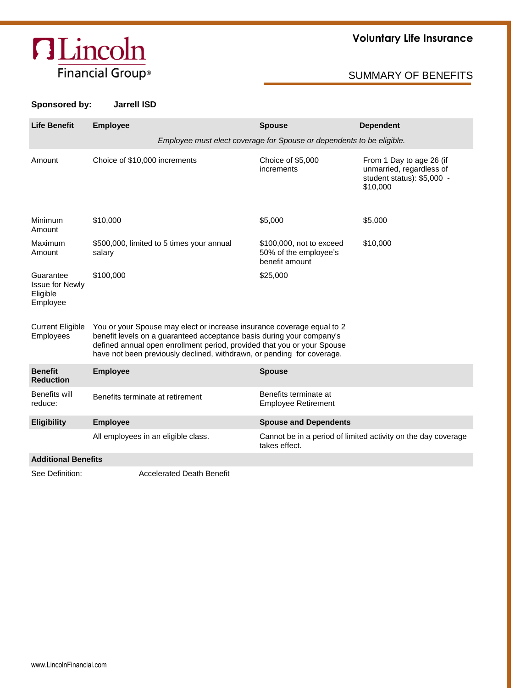# **ALincoln** Financial Group®

## **Voluntary Life Insurance**

## SUMMARY OF BENEFITS

### **Sponsored by: Jarrell ISD**

| <b>Life Benefit</b>                                         | <b>Employee</b>                                                                                                                                                                                                                                                                                      | <b>Spouse</b>                                                       | <b>Dependent</b>                                                                               |  |  |  |  |  |  |
|-------------------------------------------------------------|------------------------------------------------------------------------------------------------------------------------------------------------------------------------------------------------------------------------------------------------------------------------------------------------------|---------------------------------------------------------------------|------------------------------------------------------------------------------------------------|--|--|--|--|--|--|
|                                                             | Employee must elect coverage for Spouse or dependents to be eligible.                                                                                                                                                                                                                                |                                                                     |                                                                                                |  |  |  |  |  |  |
| Amount                                                      | Choice of \$10,000 increments                                                                                                                                                                                                                                                                        | Choice of \$5,000<br>increments                                     | From 1 Day to age 26 (if<br>unmarried, regardless of<br>student status): \$5,000 -<br>\$10,000 |  |  |  |  |  |  |
| Minimum<br>Amount                                           | \$10,000                                                                                                                                                                                                                                                                                             | \$5,000                                                             | \$5,000                                                                                        |  |  |  |  |  |  |
| Maximum<br>Amount                                           | \$500,000, limited to 5 times your annual<br>salary                                                                                                                                                                                                                                                  | \$100,000, not to exceed<br>50% of the employee's<br>benefit amount | \$10,000                                                                                       |  |  |  |  |  |  |
| Guarantee<br><b>Issue for Newly</b><br>Eligible<br>Employee | \$100,000                                                                                                                                                                                                                                                                                            | \$25,000                                                            |                                                                                                |  |  |  |  |  |  |
| <b>Current Eligible</b><br>Employees                        | You or your Spouse may elect or increase insurance coverage equal to 2<br>benefit levels on a guaranteed acceptance basis during your company's<br>defined annual open enrollment period, provided that you or your Spouse<br>have not been previously declined, withdrawn, or pending for coverage. |                                                                     |                                                                                                |  |  |  |  |  |  |
| <b>Benefit</b><br><b>Reduction</b>                          | <b>Employee</b>                                                                                                                                                                                                                                                                                      | <b>Spouse</b>                                                       |                                                                                                |  |  |  |  |  |  |
| Benefits will<br>reduce:                                    | Benefits terminate at retirement                                                                                                                                                                                                                                                                     | Benefits terminate at<br><b>Employee Retirement</b>                 |                                                                                                |  |  |  |  |  |  |
| <b>Eligibility</b>                                          | <b>Employee</b>                                                                                                                                                                                                                                                                                      | <b>Spouse and Dependents</b>                                        |                                                                                                |  |  |  |  |  |  |
|                                                             | All employees in an eligible class.                                                                                                                                                                                                                                                                  | takes effect.                                                       | Cannot be in a period of limited activity on the day coverage                                  |  |  |  |  |  |  |
| <b>Additional Benefits</b>                                  |                                                                                                                                                                                                                                                                                                      |                                                                     |                                                                                                |  |  |  |  |  |  |

See Definition: Accelerated Death Benefit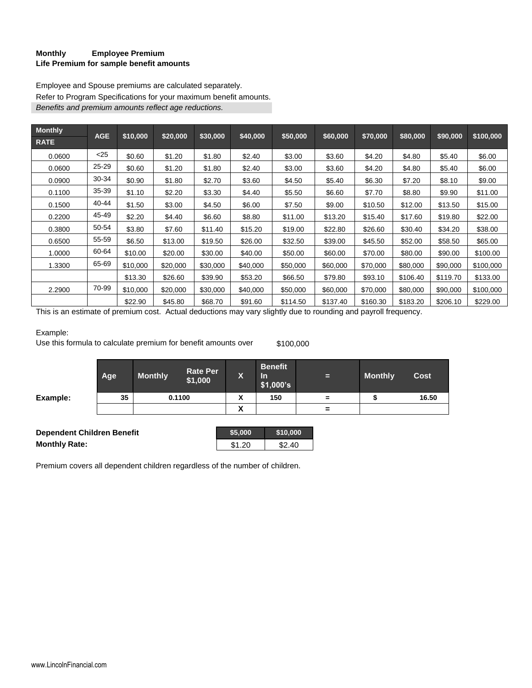#### **Monthly Employee Premium Life Premium for sample benefit amounts**

Employee and Spouse premiums are calculated separately. Refer to Program Specifications for your maximum benefit amounts. *Benefits and premium amounts reflect age reductions.*

| <b>Monthly</b> | <b>AGE</b> |          |          |          |          |          |          |          |          |          |           |
|----------------|------------|----------|----------|----------|----------|----------|----------|----------|----------|----------|-----------|
| <b>RATE</b>    |            | \$10,000 | \$20,000 | \$30,000 | \$40,000 | \$50,000 | \$60,000 | \$70,000 | \$80,000 | \$90,000 | \$100,000 |
| 0.0600         | $<$ 25     | \$0.60   | \$1.20   | \$1.80   | \$2.40   | \$3.00   | \$3.60   | \$4.20   | \$4.80   | \$5.40   | \$6.00    |
| 0.0600         | $25 - 29$  | \$0.60   | \$1.20   | \$1.80   | \$2.40   | \$3.00   | \$3.60   | \$4.20   | \$4.80   | \$5.40   | \$6.00    |
| 0.0900         | 30-34      | \$0.90   | \$1.80   | \$2.70   | \$3.60   | \$4.50   | \$5.40   | \$6.30   | \$7.20   | \$8.10   | \$9.00    |
| 0.1100         | 35-39      | \$1.10   | \$2.20   | \$3.30   | \$4.40   | \$5.50   | \$6.60   | \$7.70   | \$8.80   | \$9.90   | \$11.00   |
| 0.1500         | 40-44      | \$1.50   | \$3.00   | \$4.50   | \$6.00   | \$7.50   | \$9.00   | \$10.50  | \$12.00  | \$13.50  | \$15.00   |
| 0.2200         | 45-49      | \$2.20   | \$4.40   | \$6.60   | \$8.80   | \$11.00  | \$13.20  | \$15.40  | \$17.60  | \$19.80  | \$22.00   |
| 0.3800         | 50-54      | \$3.80   | \$7.60   | \$11.40  | \$15.20  | \$19.00  | \$22.80  | \$26.60  | \$30.40  | \$34.20  | \$38.00   |
| 0.6500         | 55-59      | \$6.50   | \$13.00  | \$19.50  | \$26.00  | \$32.50  | \$39.00  | \$45.50  | \$52.00  | \$58.50  | \$65.00   |
| 1.0000         | 60-64      | \$10.00  | \$20.00  | \$30.00  | \$40.00  | \$50.00  | \$60.00  | \$70.00  | \$80.00  | \$90.00  | \$100.00  |
| 1.3300         | 65-69      | \$10,000 | \$20,000 | \$30,000 | \$40,000 | \$50,000 | \$60,000 | \$70,000 | \$80,000 | \$90,000 | \$100,000 |
|                |            | \$13.30  | \$26.60  | \$39.90  | \$53.20  | \$66.50  | \$79.80  | \$93.10  | \$106.40 | \$119.70 | \$133.00  |
| 2.2900         | 70-99      | \$10,000 | \$20,000 | \$30,000 | \$40,000 | \$50,000 | \$60,000 | \$70,000 | \$80,000 | \$90,000 | \$100,000 |
|                |            | \$22.90  | \$45.80  | \$68.70  | \$91.60  | \$114.50 | \$137.40 | \$160.30 | \$183.20 | \$206.10 | \$229.00  |

This is an estimate of premium cost. Actual deductions may vary slightly due to rounding and payroll frequency.

#### Example:

Use this formula to calculate premium for benefit amounts over \$100,000

|          | Age | <b>Monthly</b> | <b>Rate Per</b><br>\$1,000 | $\overline{\mathbf{v}}$<br>W | <b>Benefit</b><br><u>In</u><br>\$1,000's | Е        | <b>Monthly</b> | <b>Cost</b> |
|----------|-----|----------------|----------------------------|------------------------------|------------------------------------------|----------|----------------|-------------|
| Example: | 35  |                | 0.1100                     | v<br>^                       | 150                                      | $\equiv$ |                | 16.50       |
|          |     |                |                            | v<br>↗                       |                                          | $\equiv$ |                |             |

| Dependent Children Benefit | \$5.000 | \$10.000 |
|----------------------------|---------|----------|
| <b>Monthly Rate:</b>       | \$1.20  | \$2.40   |

Premium covers all dependent children regardless of the number of children.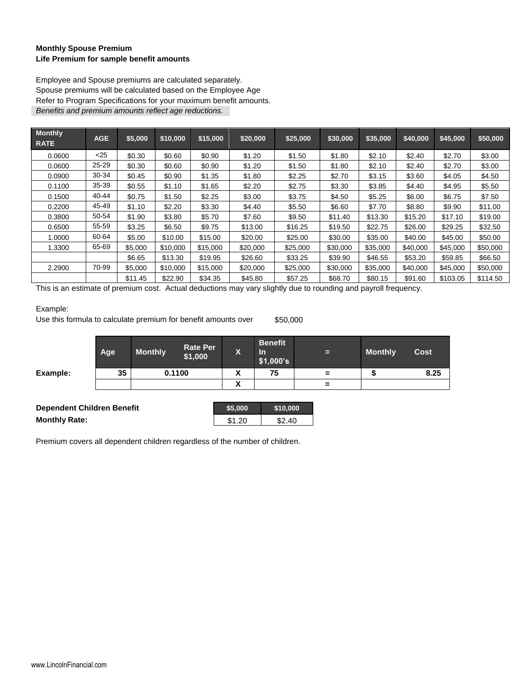#### **Monthly Spouse Premium Life Premium for sample benefit amounts**

Employee and Spouse premiums are calculated separately. Spouse premiums will be calculated based on the Employee Age Refer to Program Specifications for your maximum benefit amounts. *Benefits and premium amounts reflect age reductions.*

| <b>Monthly</b><br><b>RATE</b> | <b>AGE</b> | \$5,000 | \$10,000 | \$15,000 | \$20,000 | \$25,000 | \$30,000 | \$35,000 | \$40,000 | \$45,000 | \$50,000 |
|-------------------------------|------------|---------|----------|----------|----------|----------|----------|----------|----------|----------|----------|
| 0.0600                        | $<$ 25     | \$0.30  | \$0.60   | \$0.90   | \$1.20   | \$1.50   | \$1.80   | \$2.10   | \$2.40   | \$2.70   | \$3.00   |
| 0.0600                        | $25 - 29$  | \$0.30  | \$0.60   | \$0.90   | \$1.20   | \$1.50   | \$1.80   | \$2.10   | \$2.40   | \$2.70   | \$3.00   |
| 0.0900                        | 30-34      | \$0.45  | \$0.90   | \$1.35   | \$1.80   | \$2.25   | \$2.70   | \$3.15   | \$3.60   | \$4.05   | \$4.50   |
| 0.1100                        | 35-39      | \$0.55  | \$1.10   | \$1.65   | \$2.20   | \$2.75   | \$3.30   | \$3.85   | \$4.40   | \$4.95   | \$5.50   |
| 0.1500                        | 40-44      | \$0.75  | \$1.50   | \$2.25   | \$3.00   | \$3.75   | \$4.50   | \$5.25   | \$6.00   | \$6.75   | \$7.50   |
| 0.2200                        | 45-49      | \$1.10  | \$2.20   | \$3.30   | \$4.40   | \$5.50   | \$6.60   | \$7.70   | \$8.80   | \$9.90   | \$11.00  |
| 0.3800                        | 50-54      | \$1.90  | \$3.80   | \$5.70   | \$7.60   | \$9.50   | \$11.40  | \$13.30  | \$15.20  | \$17.10  | \$19.00  |
| 0.6500                        | 55-59      | \$3.25  | \$6.50   | \$9.75   | \$13.00  | \$16.25  | \$19.50  | \$22.75  | \$26.00  | \$29.25  | \$32.50  |
| 1.0000                        | 60-64      | \$5.00  | \$10.00  | \$15.00  | \$20.00  | \$25.00  | \$30.00  | \$35.00  | \$40.00  | \$45.00  | \$50.00  |
| 1.3300                        | 65-69      | \$5,000 | \$10,000 | \$15,000 | \$20,000 | \$25,000 | \$30,000 | \$35,000 | \$40,000 | \$45,000 | \$50,000 |
|                               |            | \$6.65  | \$13.30  | \$19.95  | \$26.60  | \$33.25  | \$39.90  | \$46.55  | \$53.20  | \$59.85  | \$66.50  |
| 2.2900                        | 70-99      | \$5,000 | \$10,000 | \$15,000 | \$20,000 | \$25,000 | \$30,000 | \$35,000 | \$40,000 | \$45,000 | \$50,000 |
|                               |            | \$11.45 | \$22.90  | \$34.35  | \$45.80  | \$57.25  | \$68.70  | \$80.15  | \$91.60  | \$103.05 | \$114.50 |

This is an estimate of premium cost. Actual deductions may vary slightly due to rounding and payroll frequency.

#### Example:

Use this formula to calculate premium for benefit amounts over \$50,000

|                                   | Age | <b>Monthly</b> | <b>Rate Per</b><br>\$1,000 | X       | <b>Benefit</b><br><b>In</b><br>\$1,000's | Е        | <b>Monthly</b> | <b>Cost</b> |
|-----------------------------------|-----|----------------|----------------------------|---------|------------------------------------------|----------|----------------|-------------|
| Example:                          | 35  |                | 0.1100                     | χ       | 75                                       | $\equiv$ |                | 8.25        |
|                                   |     |                |                            | X       |                                          | $=$      |                |             |
|                                   |     |                |                            |         |                                          |          |                |             |
| <b>Dependent Children Benefit</b> |     |                |                            | \$5,000 | \$10,000                                 |          |                |             |
| <b>Monthly Rate:</b>              |     |                |                            | \$1.20  | \$2.40                                   |          |                |             |

Premium covers all dependent children regardless of the number of children.